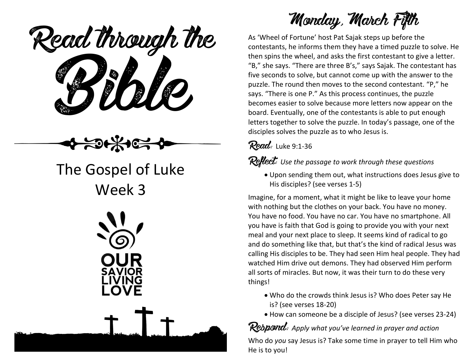ead through the  **Read through the**

# The Gospel of Luke Week 3



**Monday, March Fifth**

As 'Wheel of Fortune' host Pat Sajak steps up before the contestants, he informs them they have a timed puzzle to solve. He then spins the wheel, and asks the first contestant to give a letter. "B," she says. "There are three B's," says Sajak. The contestant has five seconds to solve, but cannot come up with the answer to the puzzle. The round then moves to the second contestant. "P," he says. "There is one P." As this process continues, the puzzle becomes easier to solve because more letters now appear on the board. Eventually, one of the contestants is able to put enough letters together to solve the puzzle. In today's passage, one of the disciples solves the puzzle as to who Jesus is.

### **Read:** Luke 9:1-36

**Reflect:** *Use the passage to work through these questions*

 Upon sending them out, what instructions does Jesus give to His disciples? (see verses 1-5)

Imagine, for a moment, what it might be like to leave your home with nothing but the clothes on your back. You have no money. You have no food. You have no car. You have no smartphone. All you have is faith that God is going to provide you with your next meal and your next place to sleep. It seems kind of radical to go and do something like that, but that's the kind of radical Jesus was calling His disciples to be. They had seen Him heal people. They had watched Him drive out demons. They had observed Him perform all sorts of miracles. But now, it was their turn to do these very things!

- Who do the crowds think Jesus is? Who does Peter say He is? (see verses 18-20)
- How can someone be a disciple of Jesus? (see verses 23-24)

**Respond:** *Apply what you've learned in prayer and action*

Who do *you* say Jesus is? Take some time in prayer to tell Him who He is to you!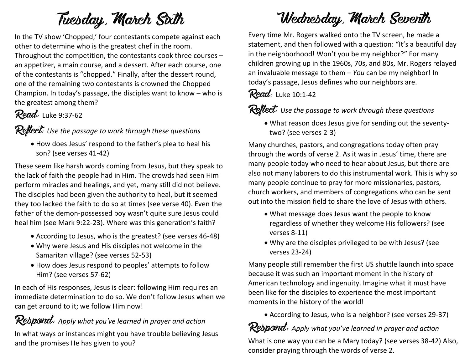# **Tuesday, March Sixth**

In the TV show 'Chopped,' four contestants compete against each other to determine who is the greatest chef in the room. Throughout the competition, the contestants cook three courses – an appetizer, a main course, and a dessert. After each course, one of the contestants is "chopped." Finally, after the dessert round, one of the remaining two contestants is crowned the Chopped Champion. In today's passage, the disciples want to know – who is the greatest among them?

### **Read:** Luke 9:37-62

#### **Reflect:** *Use the passage to work through these questions*

 How does Jesus' respond to the father's plea to heal his son? (see verses 41-42)

These seem like harsh words coming from Jesus, but they speak to the lack of faith the people had in Him. The crowds had seen Him perform miracles and healings, and yet, many still did not believe. The disciples had been given the authority to heal, but it seemed they too lacked the faith to do so at times (see verse 40). Even the father of the demon-possessed boy wasn't quite sure Jesus could heal him (see Mark 9:22-23). Where was this generation's faith?

- According to Jesus, who is the greatest? (see verses 46-48)
- Why were Jesus and His disciples not welcome in the Samaritan village? (see verses 52-53)
- How does Jesus respond to peoples' attempts to follow Him? (see verses 57-62)

In each of His responses, Jesus is clear: following Him requires an immediate determination to do so. We don't follow Jesus when we can get around to it; we follow Him now!

### **Respond:** *Apply what you've learned in prayer and action*

In what ways or instances might you have trouble believing Jesus and the promises He has given to you?

# **Wednesday, March Seventh**

Every time Mr. Rogers walked onto the TV screen, he made a statement, and then followed with a question: "It's a beautiful day in the neighborhood! Won't you be my neighbor?" For many children growing up in the 1960s, 70s, and 80s, Mr. Rogers relayed an invaluable message to them – *You* can be my neighbor! In today's passage, Jesus defines who our neighbors are.

**Read:** Luke 10:1-42

#### **Reflect:** *Use the passage to work through these questions*

 What reason does Jesus give for sending out the seventytwo? (see verses 2-3)

Many churches, pastors, and congregations today often pray through the words of verse 2. As it was in Jesus' time, there are many people today who need to hear about Jesus, but there are also not many laborers to do this instrumental work. This is why so many people continue to pray for more missionaries, pastors, church workers, and members of congregations who can be sent out into the mission field to share the love of Jesus with others.

- What message does Jesus want the people to know regardless of whether they welcome His followers? (see verses 8-11)
- Why are the disciples privileged to be with Jesus? (see verses 23-24)

Many people still remember the first US shuttle launch into space because it was such an important moment in the history of American technology and ingenuity. Imagine what it must have been like for the disciples to experience the most important moments in the history of the world!

According to Jesus, who is a neighbor? (see verses 29-37)

## **Respond:** *Apply what you've learned in prayer and action*

What is one way you can be a Mary today? (see verses 38-42) Also, consider praying through the words of verse 2.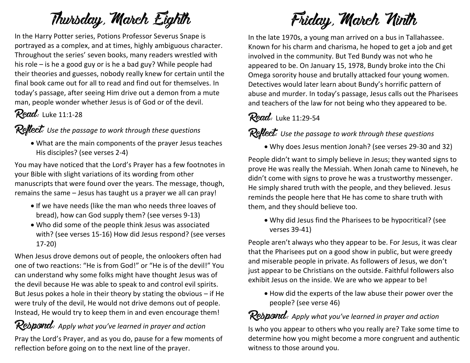# **Thursday, March Eighth**

In the Harry Potter series, Potions Professor Severus Snape is portrayed as a complex, and at times, highly ambiguous character. Throughout the series' seven books, many readers wrestled with his role – is he a good guy or is he a bad guy? While people had their theories and guesses, nobody really knew for certain until the final book came out for all to read and find out for themselves. In today's passage, after seeing Him drive out a demon from a mute man, people wonder whether Jesus is of God or of the devil.

### **Read:** Luke 11:1-28

#### **Reflect:** *Use the passage to work through these questions*

 What are the main components of the prayer Jesus teaches His disciples? (see verses 2-4)

You may have noticed that the Lord's Prayer has a few footnotes in your Bible with slight variations of its wording from other manuscripts that were found over the years. The message, though, remains the same – Jesus has taught us a prayer we all can pray!

- If we have needs (like the man who needs three loaves of bread), how can God supply them? (see verses 9-13)
- Who did some of the people think Jesus was associated with? (see verses 15-16) How did Jesus respond? (see verses 17-20)

When Jesus drove demons out of people, the onlookers often had one of two reactions: "He is from God!" or "He is of the devil!" You can understand why some folks might have thought Jesus was of the devil because He was able to speak to and control evil spirits. But Jesus pokes a hole in their theory by stating the obvious – if He were truly of the devil, He would not drive demons out of people. Instead, He would try to keep them in and even encourage them!

#### **Respond:** *Apply what you've learned in prayer and action*

Pray the Lord's Prayer, and as you do, pause for a few moments of reflection before going on to the next line of the prayer.

# **Friday, March Ninth**

In the late 1970s, a young man arrived on a bus in Tallahassee. Known for his charm and charisma, he hoped to get a job and get involved in the community. But Ted Bundy was not who he appeared to be. On January 15, 1978, Bundy broke into the Chi Omega sorority house and brutally attacked four young women. Detectives would later learn about Bundy's horrific pattern of abuse and murder. In today's passage, Jesus calls out the Pharisees and teachers of the law for not being who they appeared to be.

#### **Read:** Luke 11:29-54

**Reflect:** *Use the passage to work through these questions*

Why does Jesus mention Jonah? (see verses 29-30 and 32)

People didn't want to simply believe in Jesus; they wanted signs to prove He was really the Messiah. When Jonah came to Nineveh, he didn't come with signs to prove he was a trustworthy messenger. He simply shared truth with the people, and they believed. Jesus reminds the people here that He has come to share truth with them, and they should believe too.

 Why did Jesus find the Pharisees to be hypocritical? (see verses 39-41)

People aren't always who they appear to be. For Jesus, it was clear that the Pharisees put on a good show in public, but were greedy and miserable people in private. As followers of Jesus, we don't just appear to be Christians on the outside. Faithful followers also exhibit Jesus on the inside. We are who we appear to be!

 How did the experts of the law abuse their power over the people? (see verse 46)

# **Respond:** *Apply what you've learned in prayer and action*

Is who you appear to others who you really are? Take some time to determine how you might become a more congruent and authentic witness to those around you.